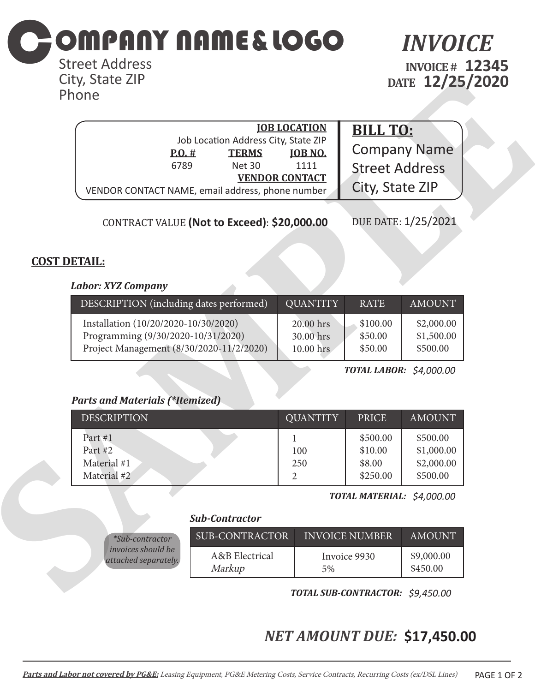

Street Address City, State ZIP Phone

*INVOICE* **INVOICE # 12345 DATE 12/25/2020**

| City, State ZiP<br>Phone                                                                                               |                                                                       |                                                                               |                                                             | DATE 12/25/2020                                  |  |
|------------------------------------------------------------------------------------------------------------------------|-----------------------------------------------------------------------|-------------------------------------------------------------------------------|-------------------------------------------------------------|--------------------------------------------------|--|
| P.0.#<br>6789<br>VENDOR CONTACT NAME, email address, phone number                                                      | Job Location Address City, State ZIP<br><b>TERMS</b><br><b>Net 30</b> | <b>JOB LOCATION</b><br><u><b>JOB NO.</b></u><br>1111<br><b>VENDOR CONTACT</b> | <b>BILL TO:</b><br><b>Street Address</b><br>City, State ZIP | <b>Company Name</b>                              |  |
|                                                                                                                        | CONTRACT VALUE (Not to Exceed): \$20,000.00                           |                                                                               |                                                             | DUE DATE: 1/25/2021                              |  |
| <b>COST DETAIL:</b><br><b>Labor: XYZ Company</b>                                                                       |                                                                       |                                                                               |                                                             |                                                  |  |
| DESCRIPTION (including dates performed)                                                                                |                                                                       | <b>QUANTITY</b>                                                               | <b>RATE</b>                                                 | <b>AMOUNT</b>                                    |  |
| Installation (10/20/2020-10/30/2020)<br>Programming (9/30/2020-10/31/2020)<br>Project Management (8/30/2020-11/2/2020) |                                                                       | 20.00 hrs<br>30.00 hrs<br>10.00 hrs                                           | \$100.00<br>\$50.00<br>\$50.00                              | \$2,000.00<br>\$1,500.00<br>\$500.00             |  |
|                                                                                                                        |                                                                       |                                                                               | <b>TOTAL LABOR: \$4,000.00</b>                              |                                                  |  |
|                                                                                                                        |                                                                       |                                                                               |                                                             |                                                  |  |
| <b>Parts and Materials (*Itemized)</b><br><b>DESCRIPTION</b>                                                           |                                                                       | <b>QUANTITY</b>                                                               | <b>PRICE</b>                                                | <b>AMOUNT</b>                                    |  |
| Part #1<br>Part #2<br>Material #1<br>Material #2                                                                       |                                                                       | 1<br>100<br>250<br>$\overline{2}$                                             | \$500.00<br>\$10.00<br>\$8.00<br>\$250.00                   | \$500.00<br>\$1,000.00<br>\$2,000.00<br>\$500.00 |  |
|                                                                                                                        |                                                                       |                                                                               | TOTAL MATERIAL: \$4,000.00                                  |                                                  |  |
|                                                                                                                        | <b>Sub-Contractor</b>                                                 |                                                                               |                                                             |                                                  |  |
| *Sub-contractor                                                                                                        | <b>SUB-CONTRACTOR</b>                                                 |                                                                               | <b>INVOICE NUMBER</b>                                       | <b>AMOUNT</b>                                    |  |
| invoices should be<br>attached separately.                                                                             | A&B Electrical<br>Markup                                              | 5%                                                                            | Invoice 9930                                                | \$9,000.00<br>\$450.00                           |  |
|                                                                                                                        |                                                                       |                                                                               | <b>TOTAL SUB-CONTRACTOR: \$9.450.00</b>                     |                                                  |  |

## **COST DETAIL:**

#### *Labor: XYZ Company*

| DESCRIPTION (including dates performed)  | <b>QUANTITY</b> | <b>RATE</b> | <b>AMOUNT</b> |
|------------------------------------------|-----------------|-------------|---------------|
| Installation (10/20/2020-10/30/2020)     | 20.00 hrs       | \$100.00    | \$2,000.00    |
| Programming (9/30/2020-10/31/2020)       | 30.00 hrs       | \$50.00     | \$1,500.00    |
| Project Management (8/30/2020-11/2/2020) | 10.00 hrs       | \$50.00     | \$500.00      |

### *Parts and Materials (\*Itemized)*

| <b>DESCRIPTION</b>                                 | <b>OUANTITY</b> | <b>PRICE</b>                              | <b>AMOUNT</b>                                    |
|----------------------------------------------------|-----------------|-------------------------------------------|--------------------------------------------------|
| Part $#1$<br>Part #2<br>Material #1<br>Material #2 | 100<br>250<br>2 | \$500.00<br>\$10.00<br>\$8.00<br>\$250.00 | \$500.00<br>\$1,000.00<br>\$2,000.00<br>\$500.00 |

#### *Sub-Contractor*

| $*Sub-contractor$         | SUB-CONTRACTOR | <b>INVOICE NUMBER</b> | AMOUNT     |
|---------------------------|----------------|-----------------------|------------|
| <i>invoices should be</i> | A&B Electrical | Invoice 9930          | \$9,000.00 |
| attached separately.      | Markup         | 5%                    | \$450.00   |

*TOTAL SUB-CONTRACTOR: \$9,450.00*

# *NET AMOUNT DUE:* **\$17,450.00**